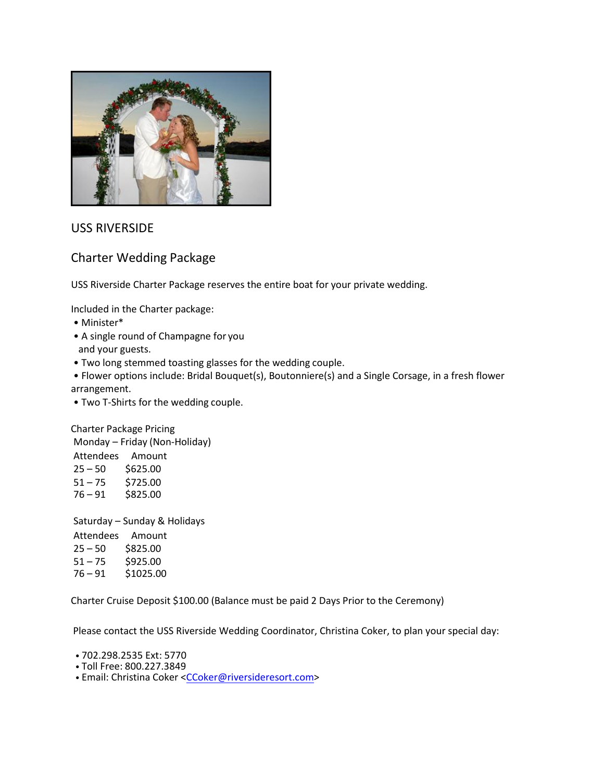

## USS RIVERSIDE

## Charter Wedding Package

USS Riverside Charter Package reserves the entire boat for your private wedding.

Included in the Charter package:

- Minister\*
- A single round of Champagne for you and your guests.
- Two long stemmed toasting glasses for the wedding couple.
- Flower options include: Bridal Bouquet(s), Boutonniere(s) and a Single Corsage, in a fresh flower
- arrangement.
- Two T-Shirts for the wedding couple.

Charter Package Pricing

Monday – Friday (Non-Holiday)

Attendees Amount  $25 - 50$  \$625.00  $51 - 75$  \$725.00<br> $76 - 91$  \$825.00  $76 - 91$ 

Saturday – Sunday & Holidays Attendees Amount  $25 - 50$  \$825.00  $51 - 75$  \$925.00 76 – 91 \$1025.00

Charter Cruise Deposit \$100.00 (Balance must be paid 2 Days Prior to the Ceremony)

Please contact the USS Riverside Wedding Coordinator, Christina Coker, to plan your special day:

- 702.298.2535 Ext: 5770
- Toll Free: 800.227.3849
- Email: Christina Coker <[CCoker@riversideresort.com](mailto:CCoker@riversideresort.com)>